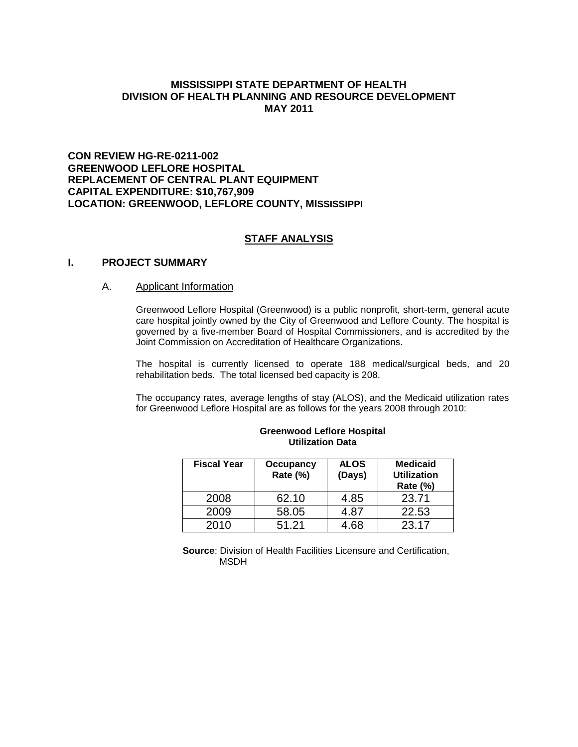## **MISSISSIPPI STATE DEPARTMENT OF HEALTH DIVISION OF HEALTH PLANNING AND RESOURCE DEVELOPMENT MAY 2011**

## **CON REVIEW HG-RE-0211-002 GREENWOOD LEFLORE HOSPITAL REPLACEMENT OF CENTRAL PLANT EQUIPMENT CAPITAL EXPENDITURE: \$10,767,909 LOCATION: GREENWOOD, LEFLORE COUNTY, MISSISSIPPI**

## **STAFF ANALYSIS**

## **I. PROJECT SUMMARY**

## A. Applicant Information

Greenwood Leflore Hospital (Greenwood) is a public nonprofit, short-term, general acute care hospital jointly owned by the City of Greenwood and Leflore County. The hospital is governed by a five-member Board of Hospital Commissioners, and is accredited by the Joint Commission on Accreditation of Healthcare Organizations.

The hospital is currently licensed to operate 188 medical/surgical beds, and 20 rehabilitation beds. The total licensed bed capacity is 208.

The occupancy rates, average lengths of stay (ALOS), and the Medicaid utilization rates for Greenwood Leflore Hospital are as follows for the years 2008 through 2010:

| <b>Fiscal Year</b> | Occupancy<br>Rate (%) | <b>ALOS</b><br>(Days) | <b>Medicaid</b><br><b>Utilization</b><br><b>Rate (%)</b> |
|--------------------|-----------------------|-----------------------|----------------------------------------------------------|
| 2008               | 62.10                 | 4.85                  | 23.71                                                    |
| 2009               | 58.05                 | 4.87                  | 22.53                                                    |
| 2010               | 51.21                 | 4.68                  | 23.17                                                    |

#### **Greenwood Leflore Hospital Utilization Data**

**Source**: Division of Health Facilities Licensure and Certification, MSDH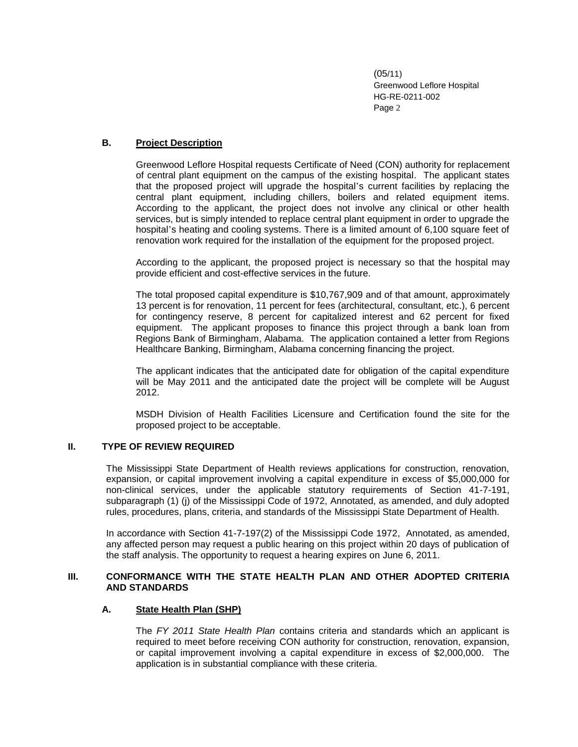## **B. Project Description**

Greenwood Leflore Hospital requests Certificate of Need (CON) authority for replacement of central plant equipment on the campus of the existing hospital. The applicant states that the proposed project will upgrade the hospital's current facilities by replacing the central plant equipment, including chillers, boilers and related equipment items. According to the applicant, the project does not involve any clinical or other health services, but is simply intended to replace central plant equipment in order to upgrade the hospital's heating and cooling systems. There is a limited amount of 6,100 square feet of renovation work required for the installation of the equipment for the proposed project.

According to the applicant, the proposed project is necessary so that the hospital may provide efficient and cost-effective services in the future.

The total proposed capital expenditure is \$10,767,909 and of that amount, approximately 13 percent is for renovation, 11 percent for fees (architectural, consultant, etc.), 6 percent for contingency reserve, 8 percent for capitalized interest and 62 percent for fixed equipment. The applicant proposes to finance this project through a bank loan from Regions Bank of Birmingham, Alabama. The application contained a letter from Regions Healthcare Banking, Birmingham, Alabama concerning financing the project.

The applicant indicates that the anticipated date for obligation of the capital expenditure will be May 2011 and the anticipated date the project will be complete will be August 2012.

MSDH Division of Health Facilities Licensure and Certification found the site for the proposed project to be acceptable.

## **II. TYPE OF REVIEW REQUIRED**

The Mississippi State Department of Health reviews applications for construction, renovation, expansion, or capital improvement involving a capital expenditure in excess of \$5,000,000 for non-clinical services, under the applicable statutory requirements of Section 41-7-191, subparagraph (1) (j) of the Mississippi Code of 1972, Annotated, as amended, and duly adopted rules, procedures, plans, criteria, and standards of the Mississippi State Department of Health.

In accordance with Section 41-7-197(2) of the Mississippi Code 1972, Annotated, as amended, any affected person may request a public hearing on this project within 20 days of publication of the staff analysis. The opportunity to request a hearing expires on June 6, 2011.

## **III. CONFORMANCE WITH THE STATE HEALTH PLAN AND OTHER ADOPTED CRITERIA AND STANDARDS**

## **A. State Health Plan (SHP)**

The *FY 2011 State Health Plan* contains criteria and standards which an applicant is required to meet before receiving CON authority for construction, renovation, expansion, or capital improvement involving a capital expenditure in excess of \$2,000,000. The application is in substantial compliance with these criteria.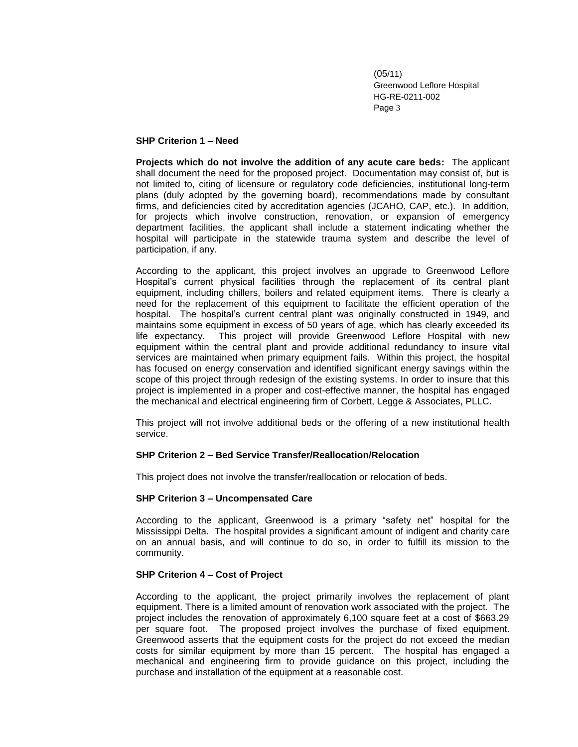#### **SHP Criterion 1 – Need**

**Projects which do not involve the addition of any acute care beds:** The applicant shall document the need for the proposed project. Documentation may consist of, but is not limited to, citing of licensure or regulatory code deficiencies, institutional long-term plans (duly adopted by the governing board), recommendations made by consultant firms, and deficiencies cited by accreditation agencies (JCAHO, CAP, etc.). In addition, for projects which involve construction, renovation, or expansion of emergency department facilities, the applicant shall include a statement indicating whether the hospital will participate in the statewide trauma system and describe the level of participation, if any.

According to the applicant, this project involves an upgrade to Greenwood Leflore Hospital's current physical facilities through the replacement of its central plant equipment, including chillers, boilers and related equipment items. There is clearly a need for the replacement of this equipment to facilitate the efficient operation of the hospital. The hospital's current central plant was originally constructed in 1949, and maintains some equipment in excess of 50 years of age, which has clearly exceeded its life expectancy. This project will provide Greenwood Leflore Hospital with new equipment within the central plant and provide additional redundancy to insure vital services are maintained when primary equipment fails. Within this project, the hospital has focused on energy conservation and identified significant energy savings within the scope of this project through redesign of the existing systems. In order to insure that this project is implemented in a proper and cost-effective manner, the hospital has engaged the mechanical and electrical engineering firm of Corbett, Legge & Associates, PLLC.

This project will not involve additional beds or the offering of a new institutional health service.

## **SHP Criterion 2 – Bed Service Transfer/Reallocation/Relocation**

This project does not involve the transfer/reallocation or relocation of beds.

## **SHP Criterion 3 – Uncompensated Care**

According to the applicant, Greenwood is a primary "safety net" hospital for the Mississippi Delta. The hospital provides a significant amount of indigent and charity care on an annual basis, and will continue to do so, in order to fulfill its mission to the community.

## **SHP Criterion 4 – Cost of Project**

According to the applicant, the project primarily involves the replacement of plant equipment. There is a limited amount of renovation work associated with the project. The project includes the renovation of approximately 6,100 square feet at a cost of \$663.29 per square foot. The proposed project involves the purchase of fixed equipment. Greenwood asserts that the equipment costs for the project do not exceed the median costs for similar equipment by more than 15 percent. The hospital has engaged a mechanical and engineering firm to provide guidance on this project, including the purchase and installation of the equipment at a reasonable cost.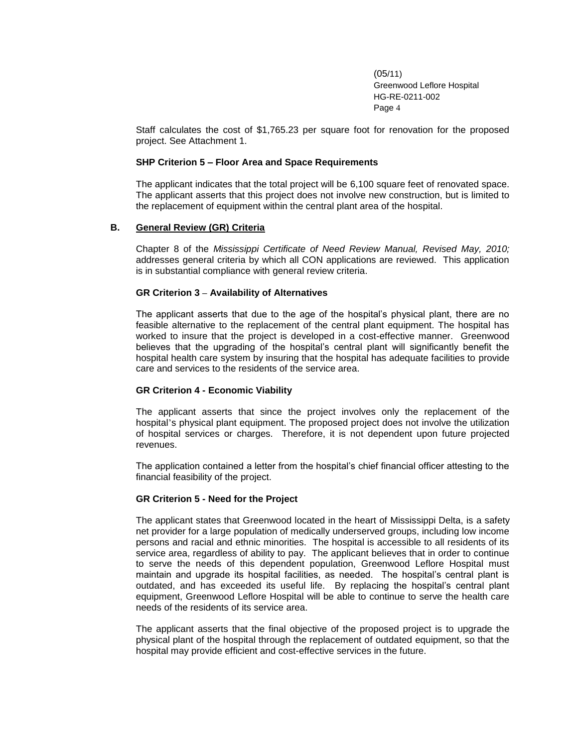Staff calculates the cost of \$1,765.23 per square foot for renovation for the proposed project. See Attachment 1.

#### **SHP Criterion 5 – Floor Area and Space Requirements**

The applicant indicates that the total project will be 6,100 square feet of renovated space. The applicant asserts that this project does not involve new construction, but is limited to the replacement of equipment within the central plant area of the hospital.

#### **B. General Review (GR) Criteria**

Chapter 8 of the *Mississippi Certificate of Need Review Manual, Revised May, 2010;* addresses general criteria by which all CON applications are reviewed. This application is in substantial compliance with general review criteria.

#### **GR Criterion 3 – Availability of Alternatives**

The applicant asserts that due to the age of the hospital's physical plant, there are no feasible alternative to the replacement of the central plant equipment. The hospital has worked to insure that the project is developed in a cost-effective manner. Greenwood believes that the upgrading of the hospital's central plant will significantly benefit the hospital health care system by insuring that the hospital has adequate facilities to provide care and services to the residents of the service area.

## **GR Criterion 4 - Economic Viability**

The applicant asserts that since the project involves only the replacement of the hospital's physical plant equipment. The proposed project does not involve the utilization of hospital services or charges. Therefore, it is not dependent upon future projected revenues.

The application contained a letter from the hospital's chief financial officer attesting to the financial feasibility of the project.

#### **GR Criterion 5 - Need for the Project**

The applicant states that Greenwood located in the heart of Mississippi Delta, is a safety net provider for a large population of medically underserved groups, including low income persons and racial and ethnic minorities. The hospital is accessible to all residents of its service area, regardless of ability to pay. The applicant believes that in order to continue to serve the needs of this dependent population, Greenwood Leflore Hospital must maintain and upgrade its hospital facilities, as needed. The hospital's central plant is outdated, and has exceeded its useful life. By replacing the hospital's central plant equipment, Greenwood Leflore Hospital will be able to continue to serve the health care needs of the residents of its service area.

The applicant asserts that the final objective of the proposed project is to upgrade the physical plant of the hospital through the replacement of outdated equipment, so that the hospital may provide efficient and cost-effective services in the future.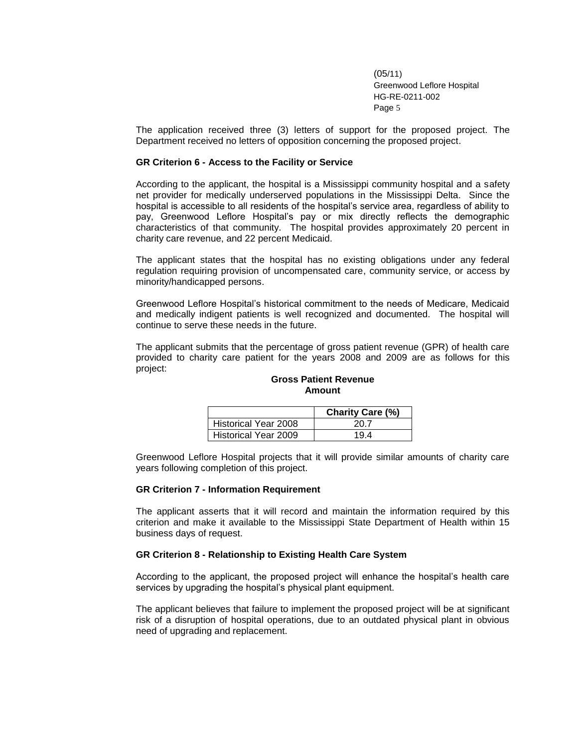The application received three (3) letters of support for the proposed project. The Department received no letters of opposition concerning the proposed project.

#### **GR Criterion 6 - Access to the Facility or Service**

According to the applicant, the hospital is a Mississippi community hospital and a safety net provider for medically underserved populations in the Mississippi Delta. Since the hospital is accessible to all residents of the hospital's service area, regardless of ability to pay, Greenwood Leflore Hospital's pay or mix directly reflects the demographic characteristics of that community. The hospital provides approximately 20 percent in charity care revenue, and 22 percent Medicaid.

The applicant states that the hospital has no existing obligations under any federal regulation requiring provision of uncompensated care, community service, or access by minority/handicapped persons.

Greenwood Leflore Hospital's historical commitment to the needs of Medicare, Medicaid and medically indigent patients is well recognized and documented. The hospital will continue to serve these needs in the future.

The applicant submits that the percentage of gross patient revenue (GPR) of health care provided to charity care patient for the years 2008 and 2009 are as follows for this project:

|                      | <b>Charity Care (%)</b> |
|----------------------|-------------------------|
| Historical Year 2008 | 20.7                    |
| Historical Year 2009 | 194                     |

**Gross Patient Revenue Amount**

Greenwood Leflore Hospital projects that it will provide similar amounts of charity care years following completion of this project.

#### **GR Criterion 7 - Information Requirement**

The applicant asserts that it will record and maintain the information required by this criterion and make it available to the Mississippi State Department of Health within 15 business days of request.

#### **GR Criterion 8 - Relationship to Existing Health Care System**

According to the applicant, the proposed project will enhance the hospital's health care services by upgrading the hospital's physical plant equipment.

The applicant believes that failure to implement the proposed project will be at significant risk of a disruption of hospital operations, due to an outdated physical plant in obvious need of upgrading and replacement.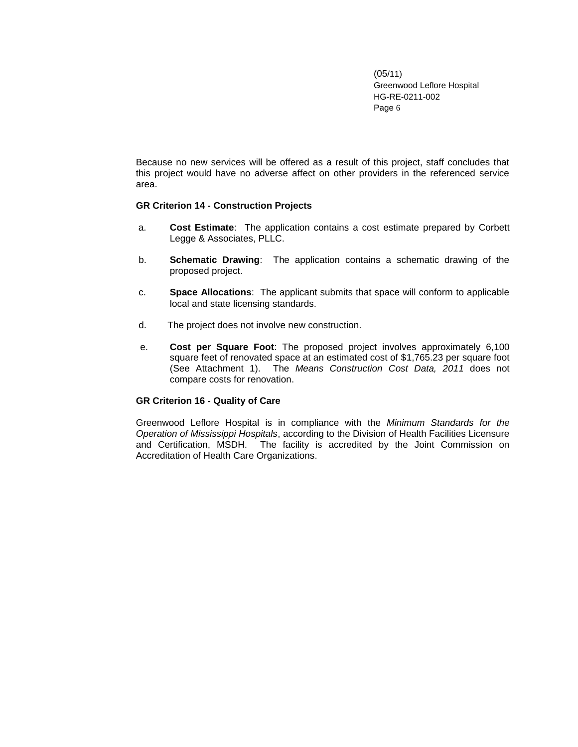Because no new services will be offered as a result of this project, staff concludes that this project would have no adverse affect on other providers in the referenced service area.

#### **GR Criterion 14 - Construction Projects**

- a. **Cost Estimate**: The application contains a cost estimate prepared by Corbett Legge & Associates, PLLC.
- b. **Schematic Drawing**: The application contains a schematic drawing of the proposed project.
- c. **Space Allocations**: The applicant submits that space will conform to applicable local and state licensing standards.
- d.The project does not involve new construction.
- e. **Cost per Square Foot**: The proposed project involves approximately 6,100 square feet of renovated space at an estimated cost of \$1,765.23 per square foot (See Attachment 1). The *Means Construction Cost Data, 2011* does not compare costs for renovation.

#### **GR Criterion 16 - Quality of Care**

Greenwood Leflore Hospital is in compliance with the *Minimum Standards for the Operation of Mississippi Hospitals*, according to the Division of Health Facilities Licensure and Certification, MSDH. The facility is accredited by the Joint Commission on Accreditation of Health Care Organizations.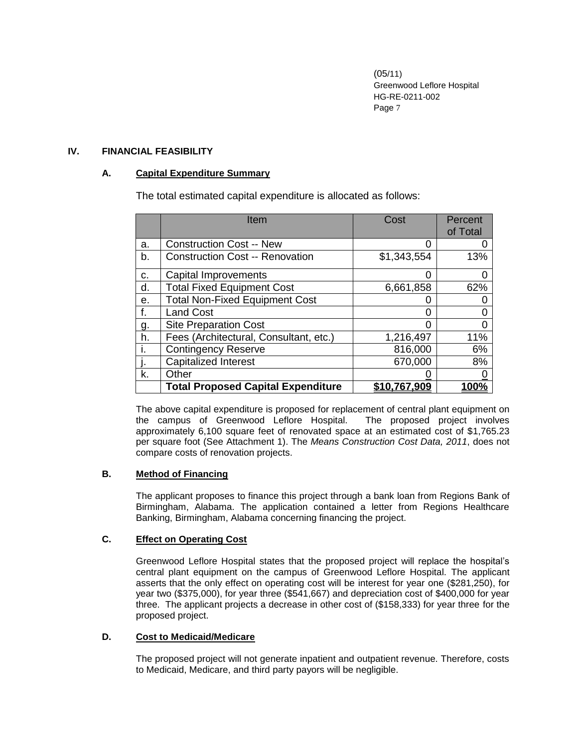## **IV. FINANCIAL FEASIBILITY**

## **A. Capital Expenditure Summary**

The total estimated capital expenditure is allocated as follows:

|    | Item                                      | Cost         | Percent<br>of Total |
|----|-------------------------------------------|--------------|---------------------|
| a. | <b>Construction Cost -- New</b>           |              |                     |
| b. | <b>Construction Cost -- Renovation</b>    | \$1,343,554  | 13%                 |
| C. | Capital Improvements                      |              |                     |
| d. | <b>Total Fixed Equipment Cost</b>         | 6,661,858    | 62%                 |
| е. | <b>Total Non-Fixed Equipment Cost</b>     |              |                     |
| f. | <b>Land Cost</b>                          |              |                     |
| g. | <b>Site Preparation Cost</b>              |              |                     |
| h. | Fees (Architectural, Consultant, etc.)    | 1,216,497    | 11%                 |
| Ť. | <b>Contingency Reserve</b>                | 816,000      | 6%                  |
|    | <b>Capitalized Interest</b>               | 670,000      | 8%                  |
| k. | Other                                     |              |                     |
|    | <b>Total Proposed Capital Expenditure</b> | \$10,767,909 | 100%                |

The above capital expenditure is proposed for replacement of central plant equipment on the campus of Greenwood Leflore Hospital. The proposed project involves approximately 6,100 square feet of renovated space at an estimated cost of \$1,765.23 per square foot (See Attachment 1). The *Means Construction Cost Data, 2011*, does not compare costs of renovation projects.

## **B. Method of Financing**

The applicant proposes to finance this project through a bank loan from Regions Bank of Birmingham, Alabama. The application contained a letter from Regions Healthcare Banking, Birmingham, Alabama concerning financing the project.

## **C. Effect on Operating Cost**

Greenwood Leflore Hospital states that the proposed project will replace the hospital's central plant equipment on the campus of Greenwood Leflore Hospital. The applicant asserts that the only effect on operating cost will be interest for year one (\$281,250), for year two (\$375,000), for year three (\$541,667) and depreciation cost of \$400,000 for year three. The applicant projects a decrease in other cost of (\$158,333) for year three for the proposed project.

## **D. Cost to Medicaid/Medicare**

The proposed project will not generate inpatient and outpatient revenue. Therefore, costs to Medicaid, Medicare, and third party payors will be negligible.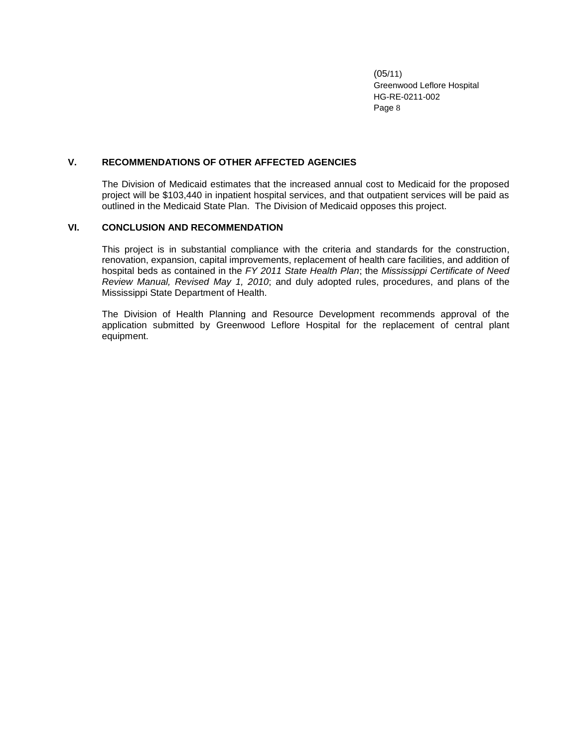## **V. RECOMMENDATIONS OF OTHER AFFECTED AGENCIES**

The Division of Medicaid estimates that the increased annual cost to Medicaid for the proposed project will be \$103,440 in inpatient hospital services, and that outpatient services will be paid as outlined in the Medicaid State Plan. The Division of Medicaid opposes this project.

#### **VI. CONCLUSION AND RECOMMENDATION**

This project is in substantial compliance with the criteria and standards for the construction, renovation, expansion, capital improvements, replacement of health care facilities, and addition of hospital beds as contained in the *FY 2011 State Health Plan*; the *Mississippi Certificate of Need Review Manual, Revised May 1, 2010*; and duly adopted rules, procedures, and plans of the Mississippi State Department of Health.

The Division of Health Planning and Resource Development recommends approval of the application submitted by Greenwood Leflore Hospital for the replacement of central plant equipment.